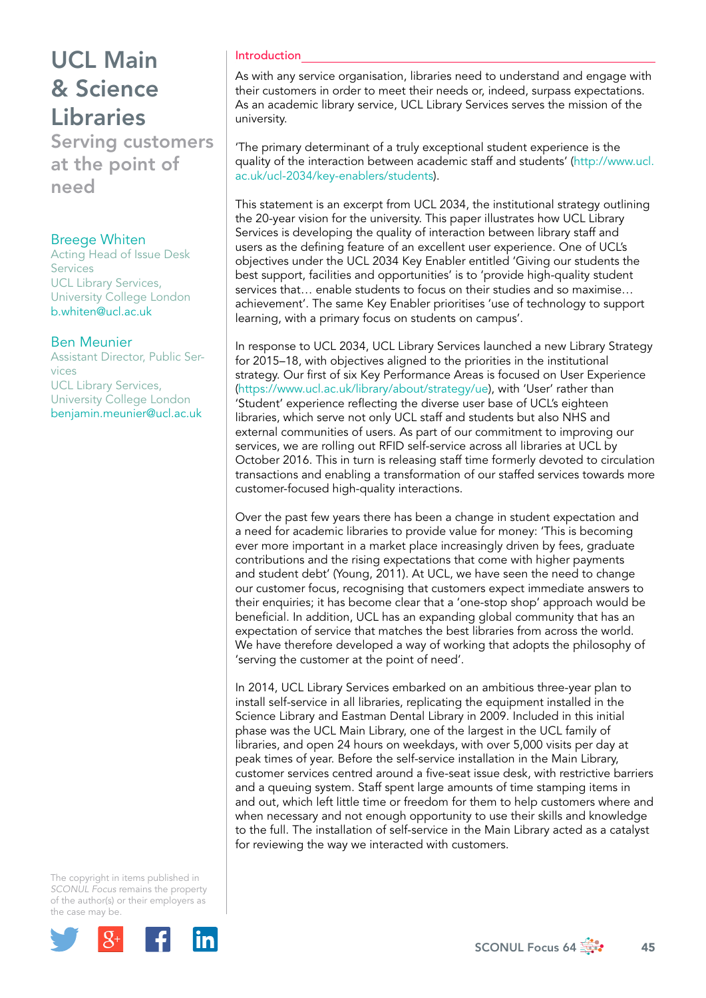Serving customers at the point of need

### Breege Whiten

Acting Head of Issue Desk Services UCL Library Services, University College London b.whiten@ucl.ac.uk

### Ben Meunier

Assistant Director, Public Services UCL Library Services, University College London benjamin.meunier@ucl.ac.uk

#### The copyright in items published in *SCONUL Focus* remains the property of the author(s) or their employers as the case m[ay be.](http://plus.google.com/share?url=http://www.sconul.ac.uk/page/focus-64)



### Introduction

As with any service organisation, libraries need to understand and engage with their customers in order to meet their needs or, indeed, surpass expectations. As an academic library service, UCL Library Services serves the mission of the university.

'The primary determinant of a truly exceptional student experience is the quality of the interaction between academic staff and students' (http://www.ucl. ac.uk/ucl-2034/key-enablers/students).

This statement is an excerpt from UCL 2034, the institutional strategy outlining the 20-year vision for the university. This paper illustrates how UCL Library Services is developing the quality of interaction between library staff and users as the defining feature of an excellent user experience. One of UCL's objectives under the UCL 2034 Key Enabler entitled 'Giving our students the best support, facilities and opportunities' is to 'provide high-quality student services that… enable students to focus on their studies and so maximise… achievement'. The same Key Enabler prioritises 'use of technology to support learning, with a primary focus on students on campus'.

In response to UCL 2034, UCL Library Services launched a new Library Strategy for 2015–18, with objectives aligned to the priorities in the institutional strategy. Our first of six Key Performance Areas is focused on User Experience (https://www.ucl.ac.uk/library/about/strategy/ue), with 'User' rather than 'Student' experience reflecting the diverse user base of UCL's eighteen libraries, which serve not only UCL staff and students but also NHS and external communities of users. As part of our commitment to improving our services, we are rolling out RFID self-service across all libraries at UCL by October 2016. This in turn is releasing staff time formerly devoted to circulation transactions and enabling a transformation of our staffed services towards more customer-focused high-quality interactions.

Over the past few years there has been a change in student expectation and a need for academic libraries to provide value for money: 'This is becoming ever more important in a market place increasingly driven by fees, graduate contributions and the rising expectations that come with higher payments and student debt' (Young, 2011). At UCL, we have seen the need to change our customer focus, recognising that customers expect immediate answers to their enquiries; it has become clear that a 'one-stop shop' approach would be beneficial. In addition, UCL has an expanding global community that has an expectation of service that matches the best libraries from across the world. We have therefore developed a way of working that adopts the philosophy of 'serving the customer at the point of need'.

In 2014, UCL Library Services embarked on an ambitious three-year plan to install self-service in all libraries, replicating the equipment installed in the Science Library and Eastman Dental Library in 2009. Included in this initial phase was the UCL Main Library, one of the largest in the UCL family of libraries, and open 24 hours on weekdays, with over 5,000 visits per day at peak times of year. Before the self-service installation in the Main Library, customer services centred around a five-seat issue desk, with restrictive barriers and a queuing system. Staff spent large amounts of time stamping items in and out, which left little time or freedom for them to help customers where and when necessary and not enough opportunity to use their skills and knowledge to the full. The installation of self-service in the Main Library acted as a catalyst for reviewing the way we interacted with customers.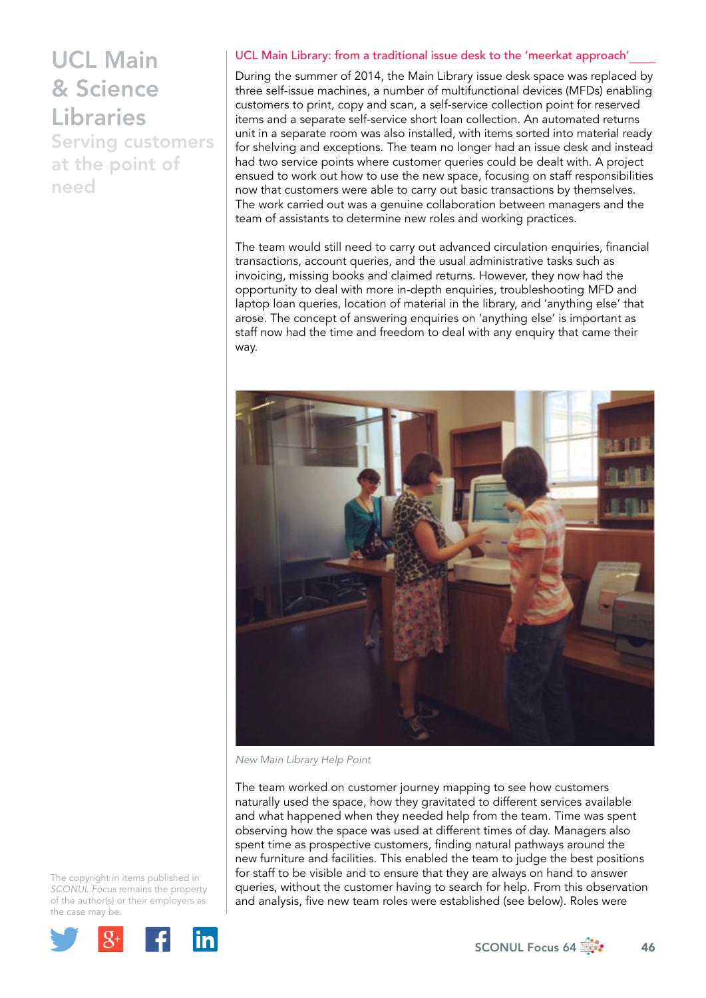Serving customers at the point of need

#### UCL Main Library: from a traditional issue desk to the 'meerkat approach'

During the summer of 2014, the Main Library issue desk space was replaced by three self-issue machines, a number of multifunctional devices (MFDs) enabling customers to print, copy and scan, a self-service collection point for reserved items and a separate self-service short loan collection. An automated returns unit in a separate room was also installed, with items sorted into material ready for shelving and exceptions. The team no longer had an issue desk and instead had two service points where customer queries could be dealt with. A project ensued to work out how to use the new space, focusing on staff responsibilities now that customers were able to carry out basic transactions by themselves. The work carried out was a genuine collaboration between managers and the team of assistants to determine new roles and working practices.

The team would still need to carry out advanced circulation enquiries, financial transactions, account queries, and the usual administrative tasks such as invoicing, missing books and claimed returns. However, they now had the opportunity to deal with more in-depth enquiries, troubleshooting MFD and laptop loan queries, location of material in the library, and 'anything else' that arose. The concept of answering enquiries on 'anything else' is important as staff now had the time and freedom to deal with any enquiry that came their way.



*New Main Library Help Point*

The team worked on customer journey mapping to see how customers naturally used the space, how they gravitated to different services available and what happened when they needed help from the team. Time was spent observing how the space was used at different times of day. Managers also spent time as prospective customers, finding natural pathways around the new furniture and facilities. This enabled the team to judge the best positions for staff to be visible and to ensure that they are always on hand to answer queries, without the customer having to search for help. From this observation and analysis, five new team roles were established (see below). Roles were

The copyright in items published in *SCONUL Focus* remains the property of the author(s) or their employers as the case m[ay be.](http://plus.google.com/share?url=http://www.sconul.ac.uk/page/focus-64)

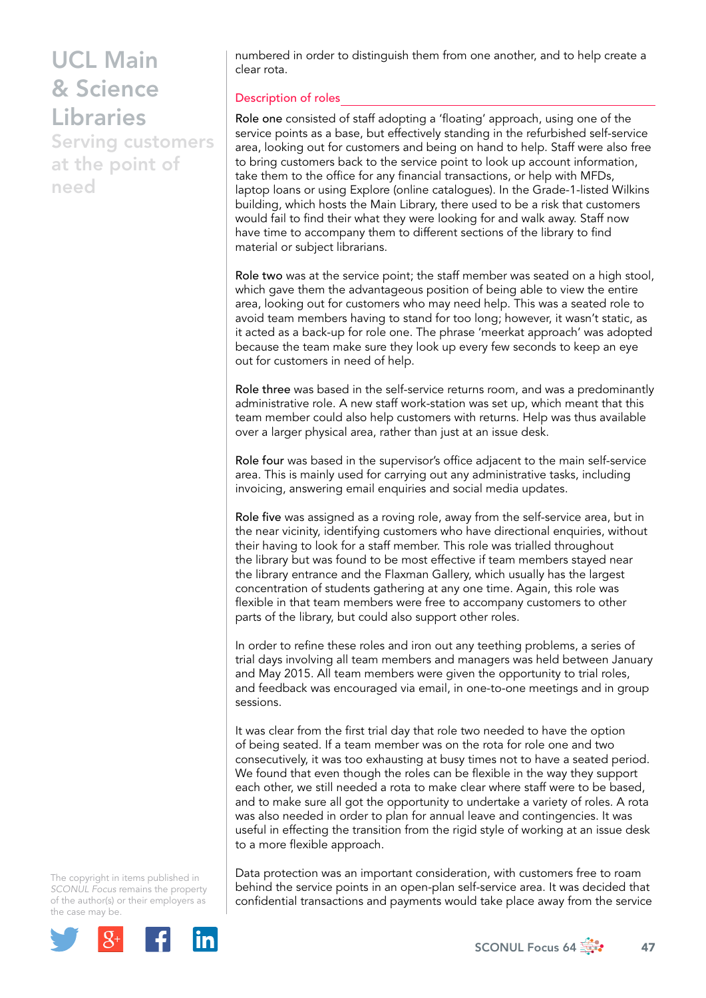Serving customers at the point of need

numbered in order to distinguish them from one another, and to help create a clear rota.

### Description of roles

Role one consisted of staff adopting a 'floating' approach, using one of the service points as a base, but effectively standing in the refurbished self-service area, looking out for customers and being on hand to help. Staff were also free to bring customers back to the service point to look up account information, take them to the office for any financial transactions, or help with MFDs, laptop loans or using Explore (online catalogues). In the Grade-1-listed Wilkins building, which hosts the Main Library, there used to be a risk that customers would fail to find their what they were looking for and walk away. Staff now have time to accompany them to different sections of the library to find material or subject librarians.

Role two was at the service point; the staff member was seated on a high stool, which gave them the advantageous position of being able to view the entire area, looking out for customers who may need help. This was a seated role to avoid team members having to stand for too long; however, it wasn't static, as it acted as a back-up for role one. The phrase 'meerkat approach' was adopted because the team make sure they look up every few seconds to keep an eye out for customers in need of help.

Role three was based in the self-service returns room, and was a predominantly administrative role. A new staff work-station was set up, which meant that this team member could also help customers with returns. Help was thus available over a larger physical area, rather than just at an issue desk.

Role four was based in the supervisor's office adjacent to the main self-service area. This is mainly used for carrying out any administrative tasks, including invoicing, answering email enquiries and social media updates.

Role five was assigned as a roving role, away from the self-service area, but in the near vicinity, identifying customers who have directional enquiries, without their having to look for a staff member. This role was trialled throughout the library but was found to be most effective if team members stayed near the library entrance and the Flaxman Gallery, which usually has the largest concentration of students gathering at any one time. Again, this role was flexible in that team members were free to accompany customers to other parts of the library, but could also support other roles.

In order to refine these roles and iron out any teething problems, a series of trial days involving all team members and managers was held between January and May 2015. All team members were given the opportunity to trial roles, and feedback was encouraged via email, in one-to-one meetings and in group sessions.

It was clear from the first trial day that role two needed to have the option of being seated. If a team member was on the rota for role one and two consecutively, it was too exhausting at busy times not to have a seated period. We found that even though the roles can be flexible in the way they support each other, we still needed a rota to make clear where staff were to be based, and to make sure all got the opportunity to undertake a variety of roles. A rota was also needed in order to plan for annual leave and contingencies. It was useful in effecting the transition from the rigid style of working at an issue desk to a more flexible approach.

The copyright in items published in *SCONUL Focus* remains the property of the author(s) or their employers as the case m[ay be.](http://plus.google.com/share?url=http://www.sconul.ac.uk/page/focus-64)



Data protection was an important consideration, with customers free to roam behind the service points in an open-plan self-service area. It was decided that confidential transactions and payments would take place away from the service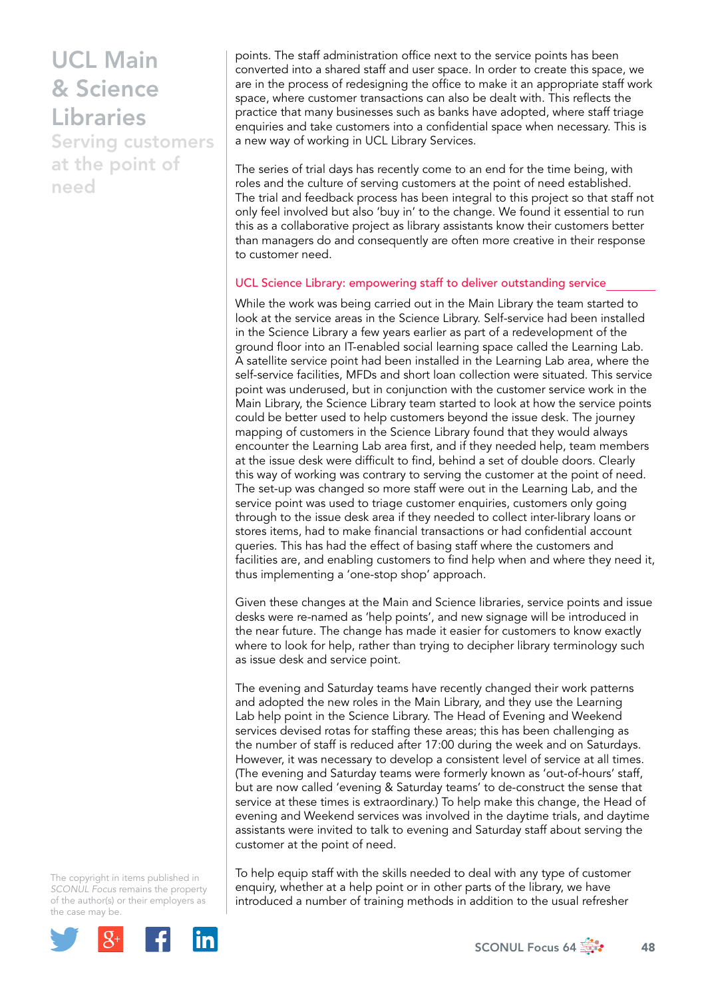Serving customers at the point of need

points. The staff administration office next to the service points has been converted into a shared staff and user space. In order to create this space, we are in the process of redesigning the office to make it an appropriate staff work space, where customer transactions can also be dealt with. This reflects the practice that many businesses such as banks have adopted, where staff triage enquiries and take customers into a confidential space when necessary. This is a new way of working in UCL Library Services.

The series of trial days has recently come to an end for the time being, with roles and the culture of serving customers at the point of need established. The trial and feedback process has been integral to this project so that staff not only feel involved but also 'buy in' to the change. We found it essential to run this as a collaborative project as library assistants know their customers better than managers do and consequently are often more creative in their response to customer need.

#### UCL Science Library: empowering staff to deliver outstanding service

While the work was being carried out in the Main Library the team started to look at the service areas in the Science Library. Self-service had been installed in the Science Library a few years earlier as part of a redevelopment of the ground floor into an IT-enabled social learning space called the Learning Lab. A satellite service point had been installed in the Learning Lab area, where the self-service facilities, MFDs and short loan collection were situated. This service point was underused, but in conjunction with the customer service work in the Main Library, the Science Library team started to look at how the service points could be better used to help customers beyond the issue desk. The journey mapping of customers in the Science Library found that they would always encounter the Learning Lab area first, and if they needed help, team members at the issue desk were difficult to find, behind a set of double doors. Clearly this way of working was contrary to serving the customer at the point of need. The set-up was changed so more staff were out in the Learning Lab, and the service point was used to triage customer enquiries, customers only going through to the issue desk area if they needed to collect inter-library loans or stores items, had to make financial transactions or had confidential account queries. This has had the effect of basing staff where the customers and facilities are, and enabling customers to find help when and where they need it, thus implementing a 'one-stop shop' approach.

Given these changes at the Main and Science libraries, service points and issue desks were re-named as 'help points', and new signage will be introduced in the near future. The change has made it easier for customers to know exactly where to look for help, rather than trying to decipher library terminology such as issue desk and service point.

The evening and Saturday teams have recently changed their work patterns and adopted the new roles in the Main Library, and they use the Learning Lab help point in the Science Library. The Head of Evening and Weekend services devised rotas for staffing these areas; this has been challenging as the number of staff is reduced after 17:00 during the week and on Saturdays. However, it was necessary to develop a consistent level of service at all times. (The evening and Saturday teams were formerly known as 'out-of-hours' staff, but are now called 'evening & Saturday teams' to de-construct the sense that service at these times is extraordinary.) To help make this change, the Head of evening and Weekend services was involved in the daytime trials, and daytime assistants were invited to talk to evening and Saturday staff about serving the customer at the point of need.

The copyright in items published in *SCONUL Focus* remains the property of the author(s) or their employers as the case m[ay be.](http://plus.google.com/share?url=http://www.sconul.ac.uk/page/focus-64)



To help equip staff with the skills needed to deal with any type of customer enquiry, whether at a help point or in other parts of the library, we have introduced a number of training methods in addition to the usual refresher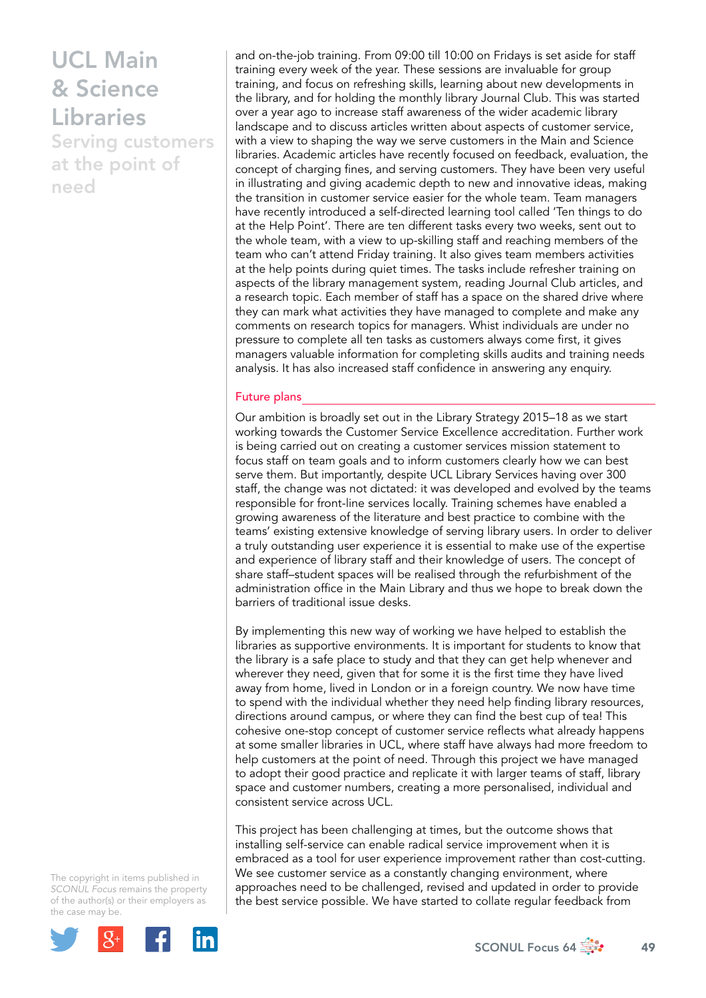Serving customers at the point of need

and on-the-job training. From 09:00 till 10:00 on Fridays is set aside for staff training every week of the year. These sessions are invaluable for group training, and focus on refreshing skills, learning about new developments in the library, and for holding the monthly library Journal Club. This was started over a year ago to increase staff awareness of the wider academic library landscape and to discuss articles written about aspects of customer service, with a view to shaping the way we serve customers in the Main and Science libraries. Academic articles have recently focused on feedback, evaluation, the concept of charging fines, and serving customers. They have been very useful in illustrating and giving academic depth to new and innovative ideas, making the transition in customer service easier for the whole team. Team managers have recently introduced a self-directed learning tool called 'Ten things to do at the Help Point'. There are ten different tasks every two weeks, sent out to the whole team, with a view to up-skilling staff and reaching members of the team who can't attend Friday training. It also gives team members activities at the help points during quiet times. The tasks include refresher training on aspects of the library management system, reading Journal Club articles, and a research topic. Each member of staff has a space on the shared drive where they can mark what activities they have managed to complete and make any comments on research topics for managers. Whist individuals are under no pressure to complete all ten tasks as customers always come first, it gives managers valuable information for completing skills audits and training needs analysis. It has also increased staff confidence in answering any enquiry.

#### Future plans

Our ambition is broadly set out in the Library Strategy 2015–18 as we start working towards the Customer Service Excellence accreditation. Further work is being carried out on creating a customer services mission statement to focus staff on team goals and to inform customers clearly how we can best serve them. But importantly, despite UCL Library Services having over 300 staff, the change was not dictated: it was developed and evolved by the teams responsible for front-line services locally. Training schemes have enabled a growing awareness of the literature and best practice to combine with the teams' existing extensive knowledge of serving library users. In order to deliver a truly outstanding user experience it is essential to make use of the expertise and experience of library staff and their knowledge of users. The concept of share staff–student spaces will be realised through the refurbishment of the administration office in the Main Library and thus we hope to break down the barriers of traditional issue desks.

By implementing this new way of working we have helped to establish the libraries as supportive environments. It is important for students to know that the library is a safe place to study and that they can get help whenever and wherever they need, given that for some it is the first time they have lived away from home, lived in London or in a foreign country. We now have time to spend with the individual whether they need help finding library resources, directions around campus, or where they can find the best cup of tea! This cohesive one-stop concept of customer service reflects what already happens at some smaller libraries in UCL, where staff have always had more freedom to help customers at the point of need. Through this project we have managed to adopt their good practice and replicate it with larger teams of staff, library space and customer numbers, creating a more personalised, individual and consistent service across UCL.

This project has been challenging at times, but the outcome shows that installing self-service can enable radical service improvement when it is embraced as a tool for user experience improvement rather than cost-cutting. We see customer service as a constantly changing environment, where approaches need to be challenged, revised and updated in order to provide the best service possible. We have started to collate regular feedback from

The copyright in items published in *SCONUL Focus* remains the property of the author(s) or their employers as the case m[ay be.](http://plus.google.com/share?url=http://www.sconul.ac.uk/page/focus-64)